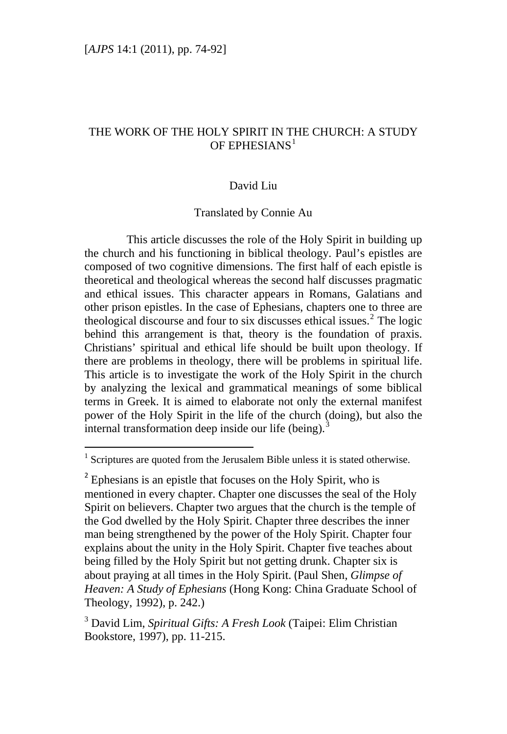# THE WORK OF THE HOLY SPIRIT IN THE CHURCH: A STUDY OF EPHESIANS $<sup>1</sup>$  $<sup>1</sup>$  $<sup>1</sup>$ </sup>

### David Liu

#### Translated by Connie Au

This article discusses the role of the Holy Spirit in building up the church and his functioning in biblical theology. Paul's epistles are composed of two cognitive dimensions. The first half of each epistle is theoretical and theological whereas the second half discusses pragmatic and ethical issues. This character appears in Romans, Galatians and other prison epistles. In the case of Ephesians, chapters one to three are theological discourse and four to six discusses ethical issues. $2$  The logic behind this arrangement is that, theory is the foundation of praxis. Christians' spiritual and ethical life should be built upon theology. If there are problems in theology, there will be problems in spiritual life. This article is to investigate the work of the Holy Spirit in the church by analyzing the lexical and grammatical meanings of some biblical terms in Greek. It is aimed to elaborate not only the external manifest power of the Holy Spirit in the life of the church (doing), but also the internal transformation deep inside our life (being).<sup>[3](#page-0-2)</sup>

<span id="page-0-0"></span><sup>1</sup> Scriptures are quoted from the Jerusalem Bible unless it is stated otherwise.

<span id="page-0-1"></span> $2^2$  Ephesians is an epistle that focuses on the Holy Spirit, who is mentioned in every chapter. Chapter one discusses the seal of the Holy Spirit on believers. Chapter two argues that the church is the temple of the God dwelled by the Holy Spirit. Chapter three describes the inner man being strengthened by the power of the Holy Spirit. Chapter four explains about the unity in the Holy Spirit. Chapter five teaches about being filled by the Holy Spirit but not getting drunk. Chapter six is about praying at all times in the Holy Spirit. (Paul Shen, *Glimpse of Heaven: A Study of Ephesians* (Hong Kong: China Graduate School of Theology, 1992), p. 242.)

<span id="page-0-2"></span><sup>3</sup> David Lim, *Spiritual Gifts: A Fresh Look* (Taipei: Elim Christian Bookstore, 1997), pp. 11-215.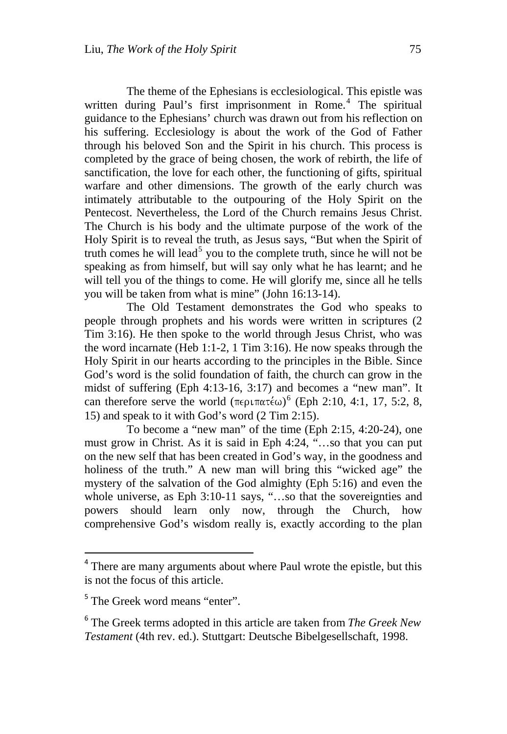The theme of the Ephesians is ecclesiological. This epistle was written during Paul's first imprisonment in Rome.<sup>[4](#page-1-0)</sup> The spiritual guidance to the Ephesians' church was drawn out from his reflection on his suffering. Ecclesiology is about the work of the God of Father through his beloved Son and the Spirit in his church. This process is completed by the grace of being chosen, the work of rebirth, the life of sanctification, the love for each other, the functioning of gifts, spiritual warfare and other dimensions. The growth of the early church was intimately attributable to the outpouring of the Holy Spirit on the Pentecost. Nevertheless, the Lord of the Church remains Jesus Christ. The Church is his body and the ultimate purpose of the work of the Holy Spirit is to reveal the truth, as Jesus says, "But when the Spirit of truth comes he will lead<sup>[5](#page-1-1)</sup> you to the complete truth, since he will not be speaking as from himself, but will say only what he has learnt; and he will tell you of the things to come. He will glorify me, since all he tells you will be taken from what is mine" (John 16:13-14).

The Old Testament demonstrates the God who speaks to people through prophets and his words were written in scriptures (2 Tim 3:16). He then spoke to the world through Jesus Christ, who was the word incarnate (Heb 1:1-2, 1 Tim 3:16). He now speaks through the Holy Spirit in our hearts according to the principles in the Bible. Since God's word is the solid foundation of faith, the church can grow in the midst of suffering (Eph 4:13-16, 3:17) and becomes a "new man". It can therefore serve the world  $(\pi \epsilon \rho \arctan{\pi \epsilon \omega})^6$  $(\pi \epsilon \rho \arctan{\pi \epsilon \omega})^6$  (Eph 2:10, 4:1, 17, 5:2, 8, 15) and speak to it with God's word (2 Tim 2:15).

To become a "new man" of the time (Eph 2:15, 4:20-24), one must grow in Christ. As it is said in Eph 4:24, "…so that you can put on the new self that has been created in God's way, in the goodness and holiness of the truth." A new man will bring this "wicked age" the mystery of the salvation of the God almighty (Eph 5:16) and even the whole universe, as Eph 3:10-11 says, "...so that the sovereignties and powers should learn only now, through the Church, how comprehensive God's wisdom really is, exactly according to the plan

<span id="page-1-0"></span><sup>&</sup>lt;sup>4</sup> There are many arguments about where Paul wrote the epistle, but this is not the focus of this article.

<span id="page-1-1"></span><sup>&</sup>lt;sup>5</sup> The Greek word means "enter".

<span id="page-1-2"></span><sup>6</sup> The Greek terms adopted in this article are taken from *The Greek New Testament* (4th rev. ed.). Stuttgart: Deutsche Bibelgesellschaft, 1998.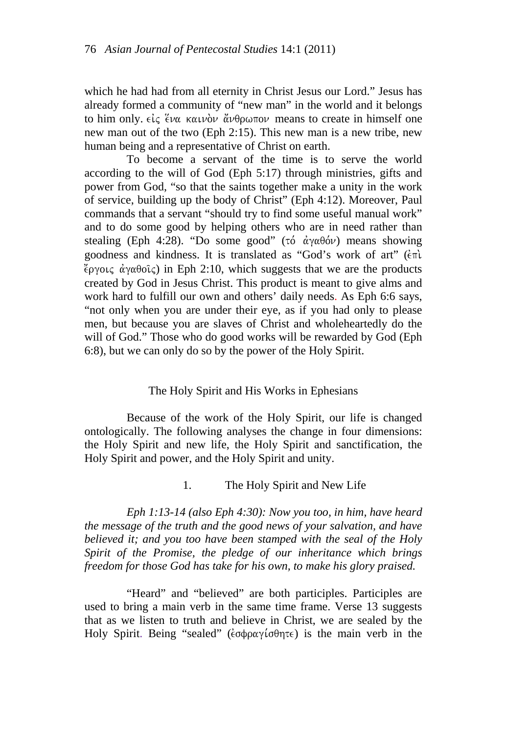which he had had from all eternity in Christ Jesus our Lord." Jesus has already formed a community of "new man" in the world and it belongs to him only.  $\epsilon \zeta \zeta$   $\epsilon \sim \frac{1}{2}$  kaunov  $\alpha \ll 1$  as to create in himself one new man out of the two (Eph 2:15). This new man is a new tribe, new human being and a representative of Christ on earth.

To become a servant of the time is to serve the world according to the will of God (Eph 5:17) through ministries, gifts and power from God, "so that the saints together make a unity in the work of service, building up the body of Christ" (Eph 4:12). Moreover, Paul commands that a servant "should try to find some useful manual work" and to do some good by helping others who are in need rather than stealing (Eph 4:28). "Do some good" (tó  $\dot{\alpha}$ y $\alpha \theta$ óv) means showing goodness and kindness. It is translated as "God's work of art" ( $\epsilon \pi i$ )  $\chi$ <sub>εργοις</sub> άγαθοις) in Eph 2:10, which suggests that we are the products created by God in Jesus Christ. This product is meant to give alms and work hard to fulfill our own and others' daily needs. As Eph 6:6 says, "not only when you are under their eye, as if you had only to please men, but because you are slaves of Christ and wholeheartedly do the will of God." Those who do good works will be rewarded by God (Eph 6:8), but we can only do so by the power of the Holy Spirit.

### The Holy Spirit and His Works in Ephesians

Because of the work of the Holy Spirit, our life is changed ontologically. The following analyses the change in four dimensions: the Holy Spirit and new life, the Holy Spirit and sanctification, the Holy Spirit and power, and the Holy Spirit and unity.

### 1. The Holy Spirit and New Life

*Eph 1:13-14 (also Eph 4:30): Now you too, in him, have heard the message of the truth and the good news of your salvation, and have believed it; and you too have been stamped with the seal of the Holy Spirit of the Promise, the pledge of our inheritance which brings freedom for those God has take for his own, to make his glory praised.* 

"Heard" and "believed" are both participles. Participles are used to bring a main verb in the same time frame. Verse 13 suggests that as we listen to truth and believe in Christ, we are sealed by the Holy Spirit. Being "sealed" ( $\epsilon \sigma \phi \rho \alpha \gamma$  ( $\sigma \theta \eta \tau \epsilon$ ) is the main verb in the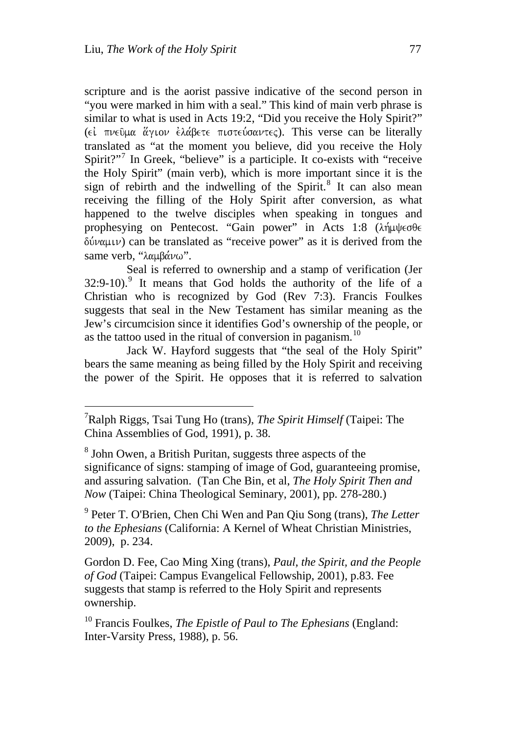scripture and is the aorist passive indicative of the second person in "you were marked in him with a seal." This kind of main verb phrase is similar to what is used in Acts 19:2, "Did you receive the Holy Spirit?" (εί πνεύμα άγιον έλάβετε πιστεύσαντες). This verse can be literally translated as "at the moment you believe, did you receive the Holy Spirit?"<sup>[7](#page-3-0)</sup> In Greek, "believe" is a participle. It co-exists with "receive the Holy Spirit" (main verb), which is more important since it is the sign of rebirth and the indwelling of the Spirit.<sup>[8](#page-3-1)</sup> It can also mean receiving the filling of the Holy Spirit after conversion, as what happened to the twelve disciples when speaking in tongues and prophesying on Pentecost. "Gain power" in Acts 1:8 (λήμψεσθε  $\delta \dot{\psi}$  ( $\psi$ ) can be translated as "receive power" as it is derived from the same verb, "λαμβάνω".

Seal is referred to ownership and a stamp of verification (Jer  $32:9-10$  $32:9-10$  $32:9-10$ .<sup>9</sup> It means that God holds the authority of the life of a Christian who is recognized by God (Rev 7:3). Francis Foulkes suggests that seal in the New Testament has similar meaning as the Jew's circumcision since it identifies God's ownership of the people, or as the tattoo used in the ritual of conversion in paganism.<sup>[10](#page-3-3)</sup>

Jack W. Hayford suggests that "the seal of the Holy Spirit" bears the same meaning as being filled by the Holy Spirit and receiving the power of the Spirit. He opposes that it is referred to salvation

<span id="page-3-0"></span><sup>7</sup> Ralph Riggs, Tsai Tung Ho (trans), *The Spirit Himself* (Taipei: The China Assemblies of God, 1991), p. 38.

<span id="page-3-1"></span><sup>&</sup>lt;sup>8</sup> John Owen, a British Puritan, suggests three aspects of the significance of signs: stamping of image of God, guaranteeing promise, and assuring salvation. (Tan Che Bin, et al, *The Holy Spirit Then and Now* (Taipei: China Theological Seminary, 2001), pp. 278-280.)

<span id="page-3-2"></span><sup>9</sup> Peter T. O'Brien, Chen Chi Wen and Pan Qiu Song (trans), *The Letter to the Ephesians* (California: A Kernel of Wheat Christian Ministries, 2009), p. 234.

Gordon D. Fee, Cao Ming Xing (trans), *Paul, the Spirit, and the People of God* (Taipei: Campus Evangelical Fellowship, 2001), p.83. Fee suggests that stamp is referred to the Holy Spirit and represents ownership.

<span id="page-3-3"></span><sup>10</sup> Francis Foulkes, *The Epistle of Paul to The Ephesians* (England: Inter-Varsity Press, 1988), p. 56.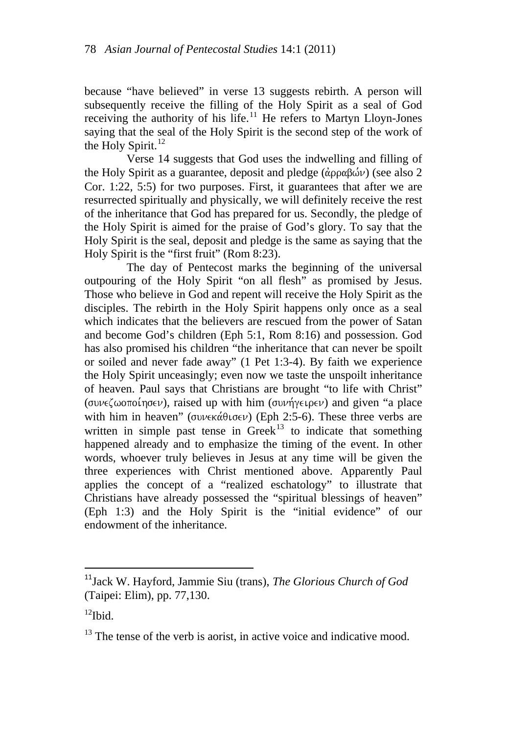because "have believed" in verse 13 suggests rebirth. A person will subsequently receive the filling of the Holy Spirit as a seal of God receiving the authority of his life.<sup>[11](#page-4-0)</sup> He refers to Martyn Lloyn-Jones saying that the seal of the Holy Spirit is the second step of the work of the Holy Spirit. $^{12}$  $^{12}$  $^{12}$ 

Verse 14 suggests that God uses the indwelling and filling of the Holy Spirit as a guarantee, deposit and pledge ( $\hat{\alpha}$ ρραβών) (see also 2 Cor. 1:22, 5:5) for two purposes. First, it guarantees that after we are resurrected spiritually and physically, we will definitely receive the rest of the inheritance that God has prepared for us. Secondly, the pledge of the Holy Spirit is aimed for the praise of God's glory. To say that the Holy Spirit is the seal, deposit and pledge is the same as saying that the Holy Spirit is the "first fruit" (Rom 8:23).

The day of Pentecost marks the beginning of the universal outpouring of the Holy Spirit "on all flesh" as promised by Jesus. Those who believe in God and repent will receive the Holy Spirit as the disciples. The rebirth in the Holy Spirit happens only once as a seal which indicates that the believers are rescued from the power of Satan and become God's children (Eph 5:1, Rom 8:16) and possession. God has also promised his children "the inheritance that can never be spoilt or soiled and never fade away" (1 Pet 1:3-4). By faith we experience the Holy Spirit unceasingly; even now we taste the unspoilt inheritance of heaven. Paul says that Christians are brought "to life with Christ" (συνεζωοποίησεν), raised up with him (συνήγειρεν) and given "a place with him in heaven" (συνεκάθισεν) (Eph 2:5-6). These three verbs are written in simple past tense in  $Greek<sup>13</sup>$  $Greek<sup>13</sup>$  $Greek<sup>13</sup>$  to indicate that something happened already and to emphasize the timing of the event. In other words, whoever truly believes in Jesus at any time will be given the three experiences with Christ mentioned above. Apparently Paul applies the concept of a "realized eschatology" to illustrate that Christians have already possessed the "spiritual blessings of heaven" (Eph 1:3) and the Holy Spirit is the "initial evidence" of our endowment of the inheritance.

<span id="page-4-0"></span><sup>11</sup>Jack W. Hayford, Jammie Siu (trans), *The Glorious Church of God* (Taipei: Elim), pp. 77,130.

<span id="page-4-1"></span> $^{12}$ Ibid.

<span id="page-4-2"></span> $13$  The tense of the verb is aorist, in active voice and indicative mood.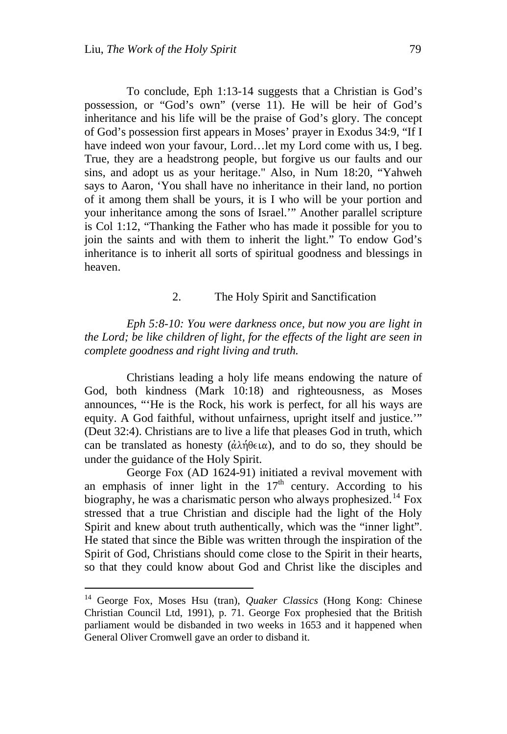To conclude, Eph 1:13-14 suggests that a Christian is God's possession, or "God's own" (verse 11). He will be heir of God's inheritance and his life will be the praise of God's glory. The concept of God's possession first appears in Moses' prayer in Exodus 34:9, "If I have indeed won your favour, Lord…let my Lord come with us, I beg. True, they are a headstrong people, but forgive us our faults and our sins, and adopt us as your heritage." Also, in Num 18:20, "Yahweh says to Aaron, 'You shall have no inheritance in their land, no portion of it among them shall be yours, it is I who will be your portion and your inheritance among the sons of Israel.'" Another parallel scripture is Col 1:12, "Thanking the Father who has made it possible for you to join the saints and with them to inherit the light." To endow God's inheritance is to inherit all sorts of spiritual goodness and blessings in heaven.

#### 2. The Holy Spirit and Sanctification

*Eph 5:8-10: You were darkness once, but now you are light in the Lord; be like children of light, for the effects of the light are seen in complete goodness and right living and truth.* 

Christians leading a holy life means endowing the nature of God, both kindness (Mark 10:18) and righteousness, as Moses announces, "'He is the Rock, his work is perfect, for all his ways are equity. A God faithful, without unfairness, upright itself and justice.'" (Deut 32:4). Christians are to live a life that pleases God in truth, which can be translated as honesty ( $\alpha\lambda\eta\theta\epsilon\iota\alpha$ ), and to do so, they should be under the guidance of the Holy Spirit.

George Fox (AD 1624-91) initiated a revival movement with an emphasis of inner light in the  $17<sup>th</sup>$  century. According to his biography, he was a charismatic person who always prophesized.<sup>[14](#page-5-0)</sup> Fox stressed that a true Christian and disciple had the light of the Holy Spirit and knew about truth authentically, which was the "inner light". He stated that since the Bible was written through the inspiration of the Spirit of God, Christians should come close to the Spirit in their hearts, so that they could know about God and Christ like the disciples and

<span id="page-5-0"></span><sup>14</sup> George Fox, Moses Hsu (tran), *Quaker Classics* (Hong Kong: Chinese Christian Council Ltd, 1991), p. 71. George Fox prophesied that the British parliament would be disbanded in two weeks in 1653 and it happened when General Oliver Cromwell gave an order to disband it.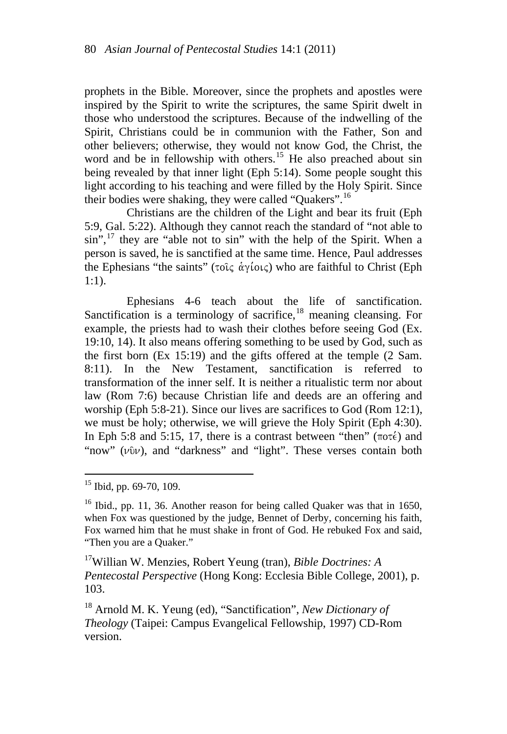prophets in the Bible. Moreover, since the prophets and apostles were inspired by the Spirit to write the scriptures, the same Spirit dwelt in those who understood the scriptures. Because of the indwelling of the Spirit, Christians could be in communion with the Father, Son and other believers; otherwise, they would not know God, the Christ, the word and be in fellowship with others.<sup>[15](#page-6-0)</sup> He also preached about sin being revealed by that inner light (Eph 5:14). Some people sought this light according to his teaching and were filled by the Holy Spirit. Since their bodies were shaking, they were called "Quakers".<sup>[16](#page-6-1)</sup>

Christians are the children of the Light and bear its fruit (Eph 5:9, Gal. 5:22). Although they cannot reach the standard of "not able to sin",<sup>[17](#page-6-2)</sup> they are "able not to sin" with the help of the Spirit. When a person is saved, he is sanctified at the same time. Hence, Paul addresses the Ephesians "the saints" (τοις άγίοις) who are faithful to Christ (Eph 1:1).

Ephesians 4-6 teach about the life of sanctification. Sanctification is a terminology of sacrifice,<sup>[18](#page-6-3)</sup> meaning cleansing. For example, the priests had to wash their clothes before seeing God (Ex. 19:10, 14). It also means offering something to be used by God, such as the first born (Ex 15:19) and the gifts offered at the temple (2 Sam. 8:11). In the New Testament, sanctification is referred to transformation of the inner self. It is neither a ritualistic term nor about law (Rom 7:6) because Christian life and deeds are an offering and worship (Eph 5:8-21). Since our lives are sacrifices to God (Rom 12:1), we must be holy; otherwise, we will grieve the Holy Spirit (Eph 4:30). In Eph 5:8 and 5:15, 17, there is a contrast between "then" ( $\pi$  $\sigma \tau \epsilon$ ) and "now"  $(v\hat{v}v)$ , and "darkness" and "light". These verses contain both

<span id="page-6-2"></span>17Willian W. Menzies, Robert Yeung (tran), *Bible Doctrines: A Pentecostal Perspective* (Hong Kong: Ecclesia Bible College, 2001), p. 103.

<span id="page-6-3"></span>18 Arnold M. K. Yeung (ed), "Sanctification", *New Dictionary of Theology* (Taipei: Campus Evangelical Fellowship, 1997) CD-Rom version.

<span id="page-6-0"></span><sup>15</sup> Ibid, pp. 69-70, 109.

<span id="page-6-1"></span> $16$  Ibid., pp. 11, 36. Another reason for being called Quaker was that in 1650, when Fox was questioned by the judge, Bennet of Derby, concerning his faith, Fox warned him that he must shake in front of God. He rebuked Fox and said, "Then you are a Quaker."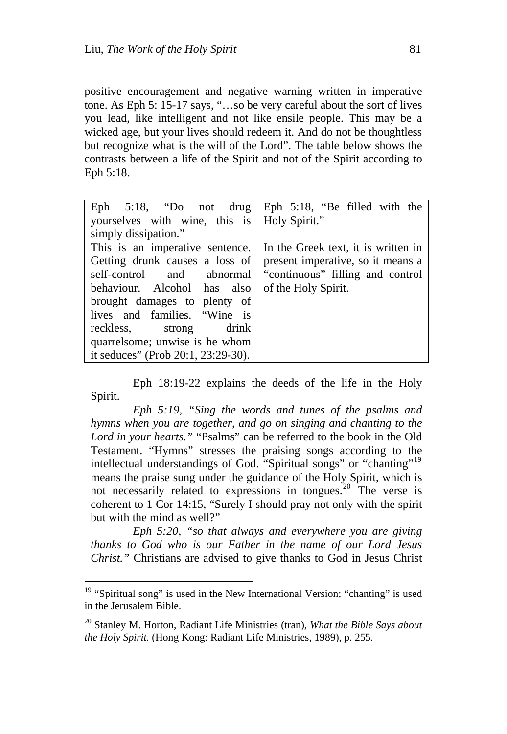positive encouragement and negative warning written in imperative tone. As Eph 5: 15-17 says, "…so be very careful about the sort of lives you lead, like intelligent and not like ensile people. This may be a wicked age, but your lives should redeem it. And do not be thoughtless but recognize what is the will of the Lord". The table below shows the contrasts between a life of the Spirit and not of the Spirit according to Eph 5:18.

| Eph $5:18$ , "Do not drug Eph $5:18$ , "Be filled with the |                                     |
|------------------------------------------------------------|-------------------------------------|
| yourselves with wine, this is   Holy Spirit."              |                                     |
| simply dissipation."                                       |                                     |
| This is an imperative sentence.                            | In the Greek text, it is written in |
| Getting drunk causes a loss of                             | present imperative, so it means a   |
| self-control and abnormal                                  | "continuous" filling and control    |
| behaviour. Alcohol has also                                | of the Holy Spirit.                 |
| brought damages to plenty of                               |                                     |
| lives and families. "Wine is                               |                                     |
| drink<br>reckless, strong                                  |                                     |
| quarrelsome; unwise is he whom                             |                                     |
| it seduces" (Prob 20:1, 23:29-30).                         |                                     |

Eph 18:19-22 explains the deeds of the life in the Holy Spirit.

*Eph 5:19, "Sing the words and tunes of the psalms and hymns when you are together, and go on singing and chanting to the Lord in your hearts."* "Psalms" can be referred to the book in the Old Testament. "Hymns" stresses the praising songs according to the intellectual understandings of God. "Spiritual songs" or "chanting"<sup>[19](#page-7-0)</sup> means the praise sung under the guidance of the Holy Spirit, which is not necessarily related to expressions in tongues. $^{20}$  $^{20}$  $^{20}$  The verse is coherent to 1 Cor 14:15, "Surely I should pray not only with the spirit but with the mind as well?"

*Eph 5:20, "so that always and everywhere you are giving thanks to God who is our Father in the name of our Lord Jesus Christ."* Christians are advised to give thanks to God in Jesus Christ

<span id="page-7-0"></span> $19$  "Spiritual song" is used in the New International Version; "chanting" is used in the Jerusalem Bible.

<span id="page-7-1"></span><sup>20</sup> Stanley M. Horton, Radiant Life Ministries (tran), *What the Bible Says about the Holy Spirit.* (Hong Kong: Radiant Life Ministries, 1989), p. 255.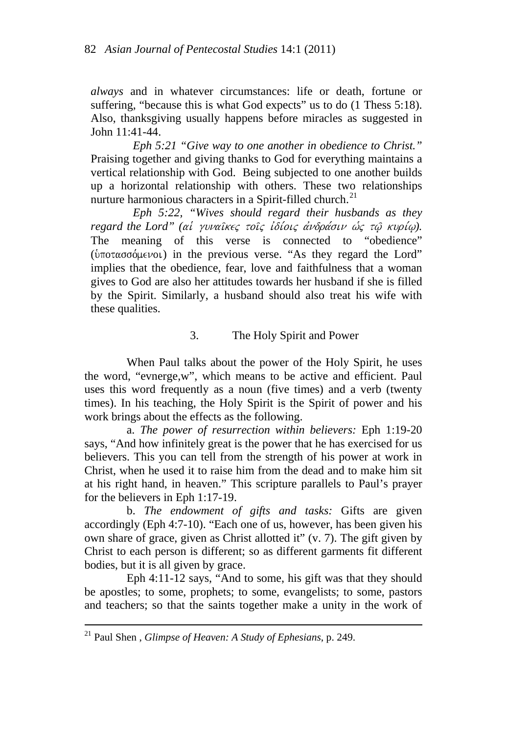*always* and in whatever circumstances: life or death, fortune or suffering, "because this is what God expects" us to do (1 Thess 5:18). Also, thanksgiving usually happens before miracles as suggested in John 11:41-44.

*Eph 5:21 "Give way to one another in obedience to Christ."* Praising together and giving thanks to God for everything maintains a vertical relationship with God. Being subjected to one another builds up a horizontal relationship with others. These two relationships nurture harmonious characters in a Spirit-filled church.<sup>[21](#page-8-0)</sup>

*Eph 5:22, "Wives should regard their husbands as they regard the Lord" (αί γυναῖκες τοῖς ἰδίοις ἀνδράσιν ώς τῷ κυρίω).* The meaning of this verse is connected to "obedience"  $(\hat{\nu}$ ποτασσόμενοι) in the previous verse. "As they regard the Lord" implies that the obedience, fear, love and faithfulness that a woman gives to God are also her attitudes towards her husband if she is filled by the Spirit. Similarly, a husband should also treat his wife with these qualities.

## 3. The Holy Spirit and Power

When Paul talks about the power of the Holy Spirit, he uses the word, "evnerge,w", which means to be active and efficient. Paul uses this word frequently as a noun (five times) and a verb (twenty times). In his teaching, the Holy Spirit is the Spirit of power and his work brings about the effects as the following.

a. *The power of resurrection within believers:* Eph 1:19-20 says, "And how infinitely great is the power that he has exercised for us believers. This you can tell from the strength of his power at work in Christ, when he used it to raise him from the dead and to make him sit at his right hand, in heaven." This scripture parallels to Paul's prayer for the believers in Eph 1:17-19.

b. *The endowment of gifts and tasks:* Gifts are given accordingly (Eph 4:7-10). "Each one of us, however, has been given his own share of grace, given as Christ allotted it" (v. 7). The gift given by Christ to each person is different; so as different garments fit different bodies, but it is all given by grace.

Eph 4:11-12 says, "And to some, his gift was that they should be apostles; to some, prophets; to some, evangelists; to some, pastors and teachers; so that the saints together make a unity in the work of

<u> 1989 - Johann Stein, mars an deus Amerikaansk kommunister (</u>

<span id="page-8-0"></span><sup>21</sup> Paul Shen , *Glimpse of Heaven: A Study of Ephesians*, p. 249.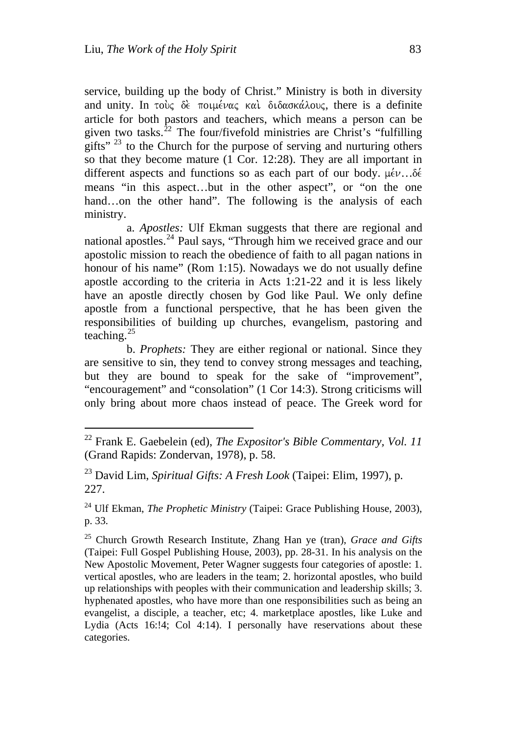service, building up the body of Christ." Ministry is both in diversity and unity. In τούς δε ποιμένας και διδασκάλους, there is a definite article for both pastors and teachers, which means a person can be given two tasks.<sup>[22](#page-9-0)</sup> The four/fivefold ministries are Christ's "fulfilling" gifts"  $^{23}$  $^{23}$  $^{23}$  to the Church for the purpose of serving and nurturing others so that they become mature (1 Cor. 12:28). They are all important in different aspects and functions so as each part of our body.  $\mu \in \mathcal{V}$ ... $\delta \in$ means "in this aspect…but in the other aspect", or "on the one hand...on the other hand". The following is the analysis of each ministry.

a. *Apostles:* Ulf Ekman suggests that there are regional and national apostles.<sup>[24](#page-9-2)</sup> Paul says, "Through him we received grace and our apostolic mission to reach the obedience of faith to all pagan nations in honour of his name" (Rom 1:15). Nowadays we do not usually define apostle according to the criteria in Acts 1:21-22 and it is less likely have an apostle directly chosen by God like Paul. We only define apostle from a functional perspective, that he has been given the responsibilities of building up churches, evangelism, pastoring and teaching. $25$ 

b. *Prophets:* They are either regional or national. Since they are sensitive to sin, they tend to convey strong messages and teaching, but they are bound to speak for the sake of "improvement", "encouragement" and "consolation" (1 Cor 14:3). Strong criticisms will only bring about more chaos instead of peace. The Greek word for

<span id="page-9-0"></span><sup>22</sup> Frank E. Gaebelein (ed), *The Expositor's Bible Commentary, Vol. 11*  (Grand Rapids: Zondervan, 1978), p. 58.

<span id="page-9-1"></span><sup>23</sup> David Lim, *Spiritual Gifts: A Fresh Look* (Taipei: Elim, 1997), p. 227.

<span id="page-9-2"></span><sup>24</sup> Ulf Ekman, *The Prophetic Ministry* (Taipei: Grace Publishing House, 2003), p. 33.

<span id="page-9-3"></span><sup>25</sup> Church Growth Research Institute, Zhang Han ye (tran), *Grace and Gifts* (Taipei: Full Gospel Publishing House, 2003), pp. 28-31. In his analysis on the New Apostolic Movement, Peter Wagner suggests four categories of apostle: 1. vertical apostles, who are leaders in the team; 2. horizontal apostles, who build up relationships with peoples with their communication and leadership skills; 3. hyphenated apostles, who have more than one responsibilities such as being an evangelist, a disciple, a teacher, etc; 4. marketplace apostles, like Luke and Lydia (Acts 16:!4; Col 4:14). I personally have reservations about these categories.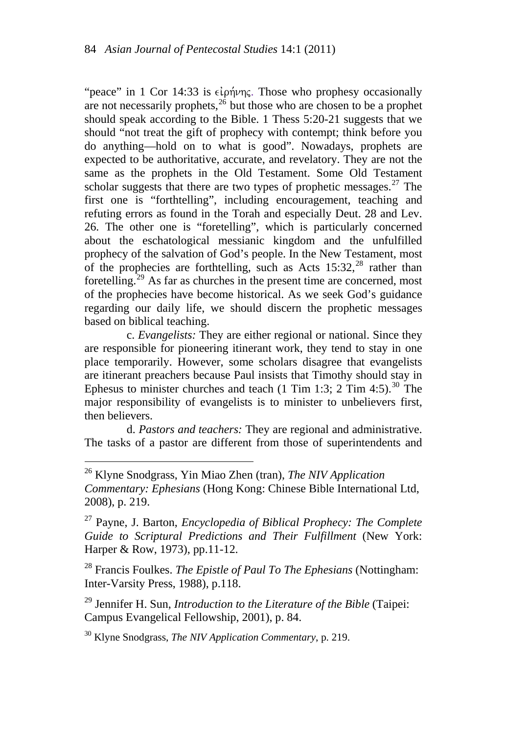"peace" in 1 Cor 14:33 is  $\epsilon\ell\rho\eta\nu\eta\epsilon$ . Those who prophesy occasionally are not necessarily prophets,  $26$  but those who are chosen to be a prophet should speak according to the Bible. 1 Thess 5:20-21 suggests that we should "not treat the gift of prophecy with contempt; think before you do anything—hold on to what is good". Nowadays, prophets are expected to be authoritative, accurate, and revelatory. They are not the same as the prophets in the Old Testament. Some Old Testament scholar suggests that there are two types of prophetic messages. $27$  The first one is "forthtelling", including encouragement, teaching and refuting errors as found in the Torah and especially Deut. 28 and Lev. 26. The other one is "foretelling", which is particularly concerned about the eschatological messianic kingdom and the unfulfilled prophecy of the salvation of God's people. In the New Testament, most of the prophecies are forthtelling, such as Acts  $15:32<sup>28</sup>$  $15:32<sup>28</sup>$  $15:32<sup>28</sup>$  rather than foretelling.<sup>[29](#page-10-3)</sup> As far as churches in the present time are concerned, most of the prophecies have become historical. As we seek God's guidance regarding our daily life, we should discern the prophetic messages based on biblical teaching.

c. *Evangelists:* They are either regional or national. Since they are responsible for pioneering itinerant work, they tend to stay in one place temporarily. However, some scholars disagree that evangelists are itinerant preachers because Paul insists that Timothy should stay in Ephesus to minister churches and teach (1 Tim 1:3; 2 Tim 4:5).<sup>[30](#page-10-4)</sup> The major responsibility of evangelists is to minister to unbelievers first, then believers.

d. *Pastors and teachers:* They are regional and administrative. The tasks of a pastor are different from those of superintendents and

<span id="page-10-1"></span>27 Payne, J. Barton, *Encyclopedia of Biblical Prophecy: The Complete Guide to Scriptural Predictions and Their Fulfillment* (New York: Harper & Row, 1973), pp.11-12.

<span id="page-10-2"></span>28 Francis Foulkes. *The Epistle of Paul To The Ephesians* (Nottingham: Inter-Varsity Press, 1988), p.118.

<span id="page-10-3"></span>29 Jennifer H. Sun, *Introduction to the Literature of the Bible* (Taipei: Campus Evangelical Fellowship, 2001), p. 84.

<span id="page-10-4"></span>30 Klyne Snodgrass, *The NIV Application Commentary*, p. 219.

<span id="page-10-0"></span><sup>26</sup> Klyne Snodgrass, Yin Miao Zhen (tran), *The NIV Application Commentary: Ephesians* (Hong Kong: Chinese Bible International Ltd, 2008), p. 219.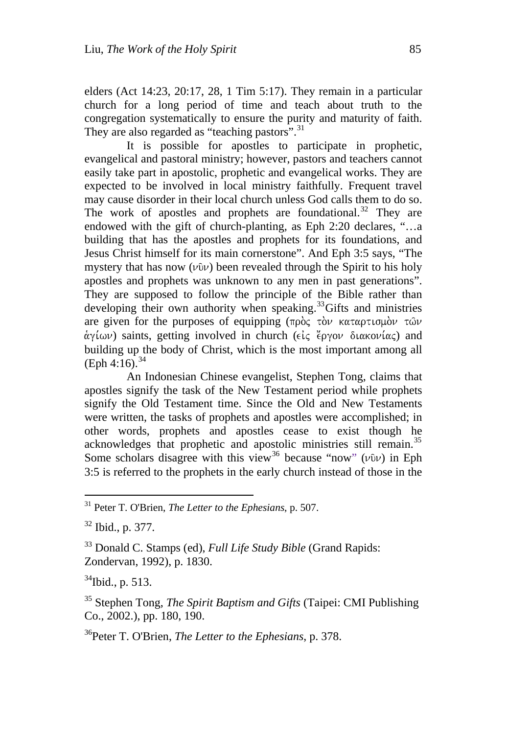elders (Act 14:23, 20:17, 28, 1 Tim 5:17). They remain in a particular church for a long period of time and teach about truth to the congregation systematically to ensure the purity and maturity of faith. They are also regarded as "teaching pastors".<sup>[31](#page-11-0)</sup>

It is possible for apostles to participate in prophetic, evangelical and pastoral ministry; however, pastors and teachers cannot easily take part in apostolic, prophetic and evangelical works. They are expected to be involved in local ministry faithfully. Frequent travel may cause disorder in their local church unless God calls them to do so. The work of apostles and prophets are foundational.<sup>[32](#page-11-1)</sup> They are endowed with the gift of church-planting, as Eph 2:20 declares, "…a building that has the apostles and prophets for its foundations, and Jesus Christ himself for its main cornerstone". And Eph 3:5 says, "The mystery that has now  $(v\hat{v}v)$  been revealed through the Spirit to his holy apostles and prophets was unknown to any men in past generations". They are supposed to follow the principle of the Bible rather than developing their own authority when speaking.<sup>[33](#page-11-2)</sup>Gifts and ministries are given for the purposes of equipping  $(\pi \rho \dot{\sigma})$  to katapticulou two.  $\dot{\alpha}$   $\gamma$ *i*  $\omega$ ) saints, getting involved in church ( $\epsilon$ *i* $\zeta$  *e*<sup>2</sup> $\gamma$ <sup>o</sup>  $\omega$  diakoni $\alpha$ ) and building up the body of Christ, which is the most important among all  $(Eph 4:16).$ <sup>[34](#page-11-3)</sup>

An Indonesian Chinese evangelist, Stephen Tong, claims that apostles signify the task of the New Testament period while prophets signify the Old Testament time. Since the Old and New Testaments were written, the tasks of prophets and apostles were accomplished; in other words, prophets and apostles cease to exist though he acknowledges that prophetic and apostolic ministries still remain.<sup>[35](#page-11-4)</sup> Some scholars disagree with this view<sup>[36](#page-11-5)</sup> because "now" ( $\nu$ 0 $\nu$ ) in Eph 3:5 is referred to the prophets in the early church instead of those in the

<span id="page-11-3"></span> $34$ Ibid., p. 513.

<span id="page-11-4"></span>35 Stephen Tong, *The Spirit Baptism and Gifts* (Taipei: CMI Publishing Co., 2002.), pp. 180, 190.

<span id="page-11-5"></span>36Peter T. O'Brien, *The Letter to the Ephesians*, p. 378.

<span id="page-11-0"></span><sup>31</sup> Peter T. O'Brien, *The Letter to the Ephesians*, p. 507.

<span id="page-11-1"></span><sup>32</sup> Ibid., p. 377.

<span id="page-11-2"></span><sup>33</sup> Donald C. Stamps (ed), *Full Life Study Bible* (Grand Rapids: Zondervan, 1992), p. 1830.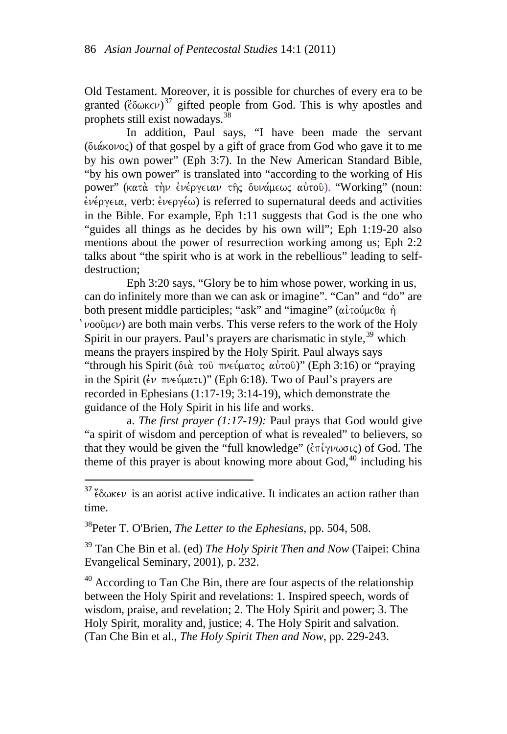Old Testament. Moreover, it is possible for churches of every era to be granted  $( \xi \delta \omega \kappa \epsilon \nu )^{37}$  $( \xi \delta \omega \kappa \epsilon \nu )^{37}$  $( \xi \delta \omega \kappa \epsilon \nu )^{37}$  gifted people from God. This is why apostles and prophets still exist nowadays.[38](#page-12-1)

In addition, Paul says, "I have been made the servant  $(\delta \iota \alpha \kappa \partial \nu \partial \zeta)$  of that gospel by a gift of grace from God who gave it to me by his own power" (Eph 3:7). In the New American Standard Bible, "by his own power" is translated into "according to the working of His power" (κατά την ένέργειαν της δυνάμεως αύτου). "Working" (noun:  $\dot{\epsilon}$ νέργεια, verb:  $\dot{\epsilon}$ νεργέω) is referred to supernatural deeds and activities in the Bible. For example, Eph 1:11 suggests that God is the one who "guides all things as he decides by his own will"; Eph 1:19-20 also mentions about the power of resurrection working among us; Eph 2:2 talks about "the spirit who is at work in the rebellious" leading to selfdestruction;

Eph 3:20 says, "Glory be to him whose power, working in us, can do infinitely more than we can ask or imagine". "Can" and "do" are both present middle participles; "ask" and "imagine" ( $\alpha\hat{i}$ τούμεθα ή  $\Delta \nu$   $\omega$  are both main verbs. This verse refers to the work of the Holy Spirit in our prayers. Paul's prayers are charismatic in style,  $39$  which means the prayers inspired by the Holy Spirit. Paul always says "through his Spirit (διά του πνεύματος αὐτου)" (Eph 3:16) or "praying in the Spirit ( $\epsilon \nu$   $\pi \nu \epsilon \psi$  $\mu \alpha \tau \nu$ )" (Eph 6:18). Two of Paul's prayers are recorded in Ephesians (1:17-19; 3:14-19), which demonstrate the guidance of the Holy Spirit in his life and works.

a. *The first prayer (1:17-19):* Paul prays that God would give "a spirit of wisdom and perception of what is revealed" to believers, so that they would be given the "full knowledge" ( $\epsilon \pi i \gamma \nu \omega \sigma \iota \zeta$ ) of God. The theme of this prayer is about knowing more about  $God<sub>1</sub><sup>40</sup>$  $God<sub>1</sub><sup>40</sup>$  $God<sub>1</sub><sup>40</sup>$  including his

<span id="page-12-0"></span> $37\%$   $\delta\omega$ KEV is an aorist active indicative. It indicates an action rather than time.

<span id="page-12-1"></span>38Peter T. O'Brien, *The Letter to the Ephesians*, pp. 504, 508.

<span id="page-12-2"></span>39 Tan Che Bin et al. (ed) *The Holy Spirit Then and Now* (Taipei: China Evangelical Seminary, 2001), p. 232.

<span id="page-12-3"></span><sup>40</sup> According to Tan Che Bin, there are four aspects of the relationship between the Holy Spirit and revelations: 1. Inspired speech, words of wisdom, praise, and revelation; 2. The Holy Spirit and power; 3. The Holy Spirit, morality and, justice; 4. The Holy Spirit and salvation. (Tan Che Bin et al., *The Holy Spirit Then and Now*, pp. 229-243.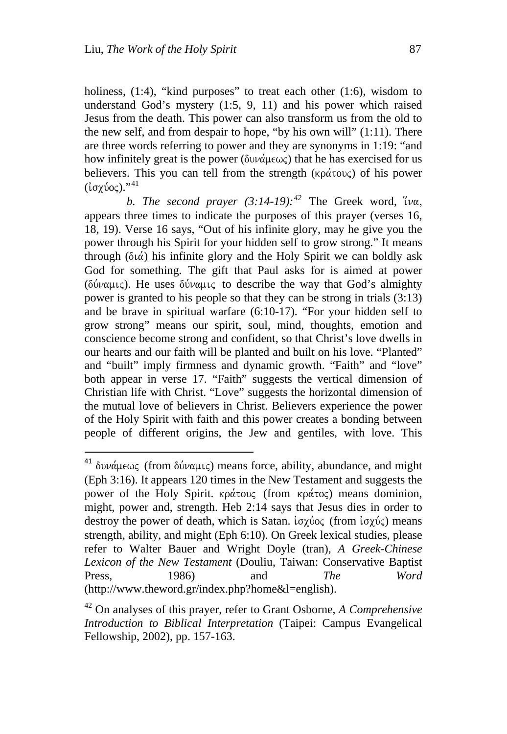holiness,  $(1:4)$ , "kind purposes" to treat each other  $(1:6)$ , wisdom to understand God's mystery (1:5, 9, 11) and his power which raised Jesus from the death. This power can also transform us from the old to the new self, and from despair to hope, "by his own will" (1:11). There are three words referring to power and they are synonyms in 1:19: "and how infinitely great is the power ( $\delta \nu \alpha \mu \epsilon \omega \zeta$ ) that he has exercised for us believers. This you can tell from the strength  $(\kappa_0 \alpha \tau_0)$  of his power  $(iσχύος).$ "<sup>[41](#page-13-0)</sup>

*b. The second prayer*  $(3:14-19)$ *:*<sup> $42$ </sup> The Greek word,  $\forall w$ , appears three times to indicate the purposes of this prayer (verses 16, 18, 19). Verse 16 says, "Out of his infinite glory, may he give you the power through his Spirit for your hidden self to grow strong." It means through  $(\delta \alpha)$  his infinite glory and the Holy Spirit we can boldly ask God for something. The gift that Paul asks for is aimed at power ( $\delta \omega \alpha \mu c$ ). He uses  $\delta \omega \alpha \mu c$  to describe the way that God's almighty power is granted to his people so that they can be strong in trials (3:13) and be brave in spiritual warfare (6:10-17). "For your hidden self to grow strong" means our spirit, soul, mind, thoughts, emotion and conscience become strong and confident, so that Christ's love dwells in our hearts and our faith will be planted and built on his love. "Planted" and "built" imply firmness and dynamic growth. "Faith" and "love" both appear in verse 17. "Faith" suggests the vertical dimension of Christian life with Christ. "Love" suggests the horizontal dimension of the mutual love of believers in Christ. Believers experience the power of the Holy Spirit with faith and this power creates a bonding between people of different origins, the Jew and gentiles, with love. This

<span id="page-13-0"></span><sup>&</sup>lt;sup>41</sup> δυνάμεως (from δύναμις) means force, ability, abundance, and might (Eph 3:16). It appears 120 times in the New Testament and suggests the power of the Holy Spirit. κράτους (from κράτος) means dominion, might, power and, strength. Heb 2:14 says that Jesus dies in order to destroy the power of death, which is Satan. ἰσχύος (from ἰσχύς) means strength, ability, and might (Eph 6:10). On Greek lexical studies, please refer to Walter Bauer and Wright Doyle (tran), *A Greek-Chinese Lexicon of the New Testament* (Douliu, Taiwan: Conservative Baptist Press, 1986) and *The Word* (http://www.theword.gr/index.php?home&l=english).

<span id="page-13-1"></span><sup>42</sup> On analyses of this prayer, refer to Grant Osborne, *A Comprehensive Introduction to Biblical Interpretation* (Taipei: Campus Evangelical Fellowship, 2002), pp. 157-163.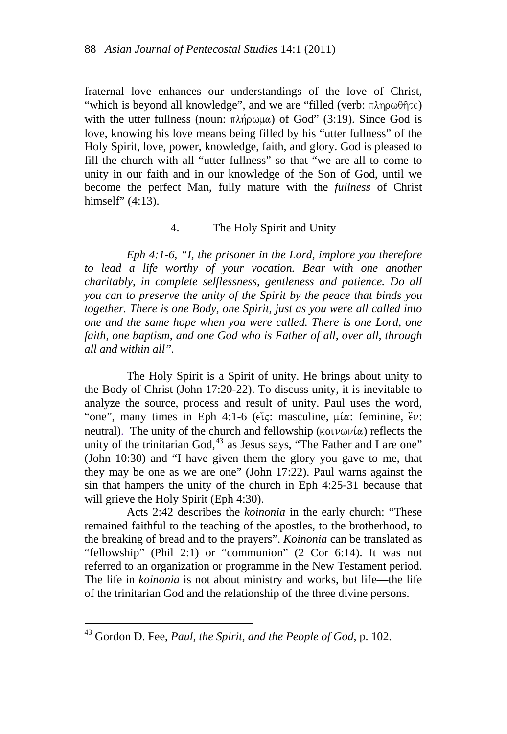fraternal love enhances our understandings of the love of Christ, "which is beyond all knowledge", and we are "filled (verb:  $\pi \lambda \eta \rho \omega \theta \hat{\eta} \tau \epsilon$ ) with the utter fullness (noun:  $\pi \lambda \eta \omega \mu \alpha$ ) of God" (3:19). Since God is love, knowing his love means being filled by his "utter fullness" of the Holy Spirit, love, power, knowledge, faith, and glory. God is pleased to fill the church with all "utter fullness" so that "we are all to come to unity in our faith and in our knowledge of the Son of God, until we become the perfect Man, fully mature with the *fullness* of Christ himself" (4:13).

## 4. The Holy Spirit and Unity

*Eph 4:1-6, "I, the prisoner in the Lord, implore you therefore*  to lead a life worthy of your vocation. Bear with one another *charitably, in complete selflessness, gentleness and patience. Do all you can to preserve the unity of the Spirit by the peace that binds you together. There is one Body, one Spirit, just as you were all called into one and the same hope when you were called. There is one Lord, one faith, one baptism, and one God who is Father of all, over all, through all and within all".* 

The Holy Spirit is a Spirit of unity. He brings about unity to the Body of Christ (John 17:20-22). To discuss unity, it is inevitable to analyze the source, process and result of unity. Paul uses the word, "one", many times in Eph 4:1-6 ( $\epsilon \tilde{\iota}$ ς: masculine,  $\mu \tilde{\iota}$  a: feminine,  $\tilde{\epsilon} \nu$ : neutral). The unity of the church and fellowship ( $\kappa$ oi $\nu$ ωνία) reflects the unity of the trinitarian God, $^{43}$  $^{43}$  $^{43}$  as Jesus says, "The Father and I are one" (John 10:30) and "I have given them the glory you gave to me, that they may be one as we are one" (John 17:22). Paul warns against the sin that hampers the unity of the church in Eph 4:25-31 because that will grieve the Holy Spirit (Eph 4:30).

Acts 2:42 describes the *koinonia* in the early church: "These remained faithful to the teaching of the apostles, to the brotherhood, to the breaking of bread and to the prayers". *Koinonia* can be translated as "fellowship" (Phil 2:1) or "communion" (2 Cor 6:14). It was not referred to an organization or programme in the New Testament period. The life in *koinonia* is not about ministry and works, but life—the life of the trinitarian God and the relationship of the three divine persons.

<span id="page-14-0"></span><sup>43</sup> Gordon D. Fee, *Paul, the Spirit, and the People of God*, p. 102.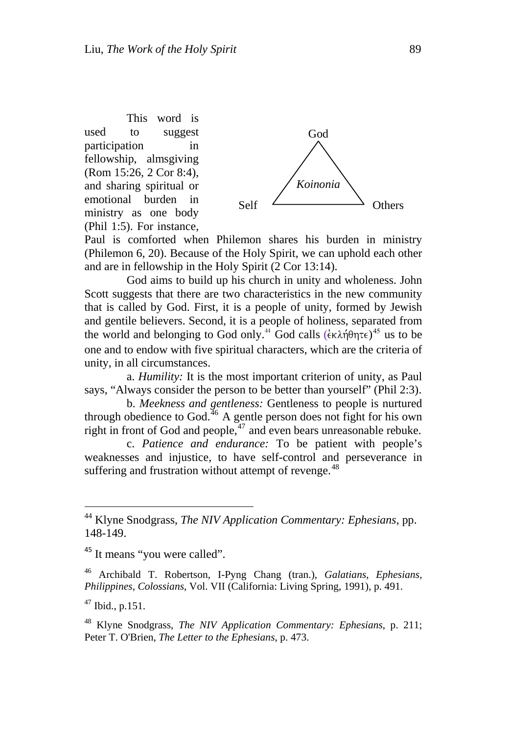This word is used to suggest participation in fellowship, almsgiving (Rom 15:26, 2 Cor 8:4), and sharing spiritual or emotional burden in ministry as one body (Phil 1:5). For instance,



Paul is comforted when Philemon shares his burden in ministry (Philemon 6, 20). Because of the Holy Spirit, we can uphold each other and are in fellowship in the Holy Spirit (2 Cor 13:14).

God aims to build up his church in unity and wholeness. John Scott suggests that there are two characteristics in the new community that is called by God. First, it is a people of unity, formed by Jewish and gentile believers. Second, it is a people of holiness, separated from the world and belonging to God only.<sup>[44](#page-15-0)</sup> God calls  $(\hat{\epsilon} \kappa \lambda \hat{\eta} \theta \eta \tau \epsilon)^{45}$  $(\hat{\epsilon} \kappa \lambda \hat{\eta} \theta \eta \tau \epsilon)^{45}$  $(\hat{\epsilon} \kappa \lambda \hat{\eta} \theta \eta \tau \epsilon)^{45}$  us to be one and to endow with five spiritual characters, which are the criteria of unity, in all circumstances.

a. *Humility:* It is the most important criterion of unity, as Paul says, "Always consider the person to be better than yourself" (Phil 2:3).

b. *Meekness and gentleness:* Gentleness to people is nurtured through obedience to God. $^{46}$  $^{46}$  $^{46}$  A gentle person does not fight for his own right in front of God and people, $47$  and even bears unreasonable rebuke.

c. *Patience and endurance:* To be patient with people's weaknesses and injustice, to have self-control and perseverance in suffering and frustration without attempt of revenge.<sup>[48](#page-15-4)</sup>

<span id="page-15-0"></span><sup>44</sup> Klyne Snodgrass, *The NIV Application Commentary: Ephesians*, pp. 148-149.

<span id="page-15-1"></span><sup>&</sup>lt;sup>45</sup> It means "you were called".

<span id="page-15-2"></span><sup>46</sup> Archibald T. Robertson, I-Pyng Chang (tran.), *Galatians, Ephesians, Philippines, Colossians*, Vol. VII (California: Living Spring, 1991), p. 491.

<span id="page-15-3"></span> $47$  Ibid., p.151.

<span id="page-15-4"></span><sup>48</sup> Klyne Snodgrass, *The NIV Application Commentary: Ephesians*, p. 211; Peter T. O'Brien, *The Letter to the Ephesians*, p. 473.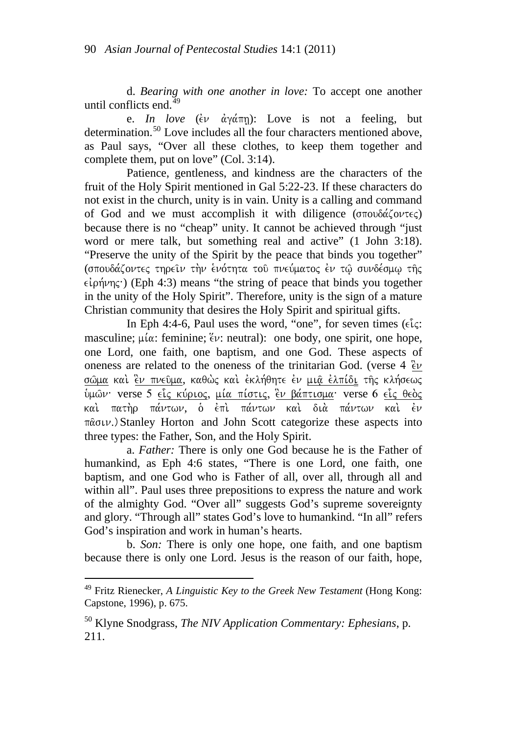d. *Bearing with one another in love:* To accept one another until conflicts end.<sup>[49](#page-16-0)</sup>

e. *In love* ( $\epsilon v \frac{\partial \phi}{\partial x}$ ): Love is not a feeling, but determination.<sup>[50](#page-16-1)</sup> Love includes all the four characters mentioned above, as Paul says, "Over all these clothes, to keep them together and complete them, put on love" (Col. 3:14).

Patience, gentleness, and kindness are the characters of the fruit of the Holy Spirit mentioned in Gal 5:22-23. If these characters do not exist in the church, unity is in vain. Unity is a calling and command of God and we must accomplish it with diligence ( $\sigma \pi o v \delta \alpha \zeta o v \tau \epsilon \zeta$ ) because there is no "cheap" unity. It cannot be achieved through "just word or mere talk, but something real and active" (1 John 3:18). "Preserve the unity of the Spirit by the peace that binds you together" (σπουδάζοντες τηρειν τὴν ἐνότητα τοῦ πνεύματος ἐν τῷ συνδέσμῳ τῆς  $\epsilon$ <sup>i</sup> (Eph 4:3) means "the string of peace that binds you together in the unity of the Holy Spirit". Therefore, unity is the sign of a mature Christian community that desires the Holy Spirit and spiritual gifts.

In Eph 4:4-6, Paul uses the word, "one", for seven times ( $\epsilon \hat{i}$  $\epsilon$ : masculine;  $\mu(\alpha)$ : feminine;  $\ell \nu$ : neutral): one body, one spirit, one hope, one Lord, one faith, one baptism, and one God. These aspects of oneness are related to the oneness of the trinitarian God. (verse  $4 \text{ }^2$ v) σῶμα καὶ ἓν πνεῦμα, καθὼς καὶ ἐκλήθητε ἐν μιᾶ ἐλπίδι τῆς κλήσεως ύμων· verse 5 είς κύριος, μία πίστις, έν βάπτισμα· verse 6 είς θεὸς καὶ πατὴρ πάντων, ὁ ἐπὶ πάντων καὶ διὰ πάντων καὶ ἐν  $\pi\hat{\alpha}$ <sub> $\sigma$ </sub> $\mu$ .) Stanley Horton and John Scott categorize these aspects into three types: the Father, Son, and the Holy Spirit.

a. *Father:* There is only one God because he is the Father of humankind, as Eph 4:6 states, "There is one Lord, one faith, one baptism, and one God who is Father of all, over all, through all and within all". Paul uses three prepositions to express the nature and work of the almighty God. "Over all" suggests God's supreme sovereignty and glory. "Through all" states God's love to humankind. "In all" refers God's inspiration and work in human's hearts.

b. *Son:* There is only one hope, one faith, and one baptism because there is only one Lord. Jesus is the reason of our faith, hope,

<span id="page-16-0"></span><sup>49</sup> Fritz Rienecker, *A Linguistic Key to the Greek New Testament* (Hong Kong: Capstone, 1996), p. 675.

<span id="page-16-1"></span><sup>50</sup> Klyne Snodgrass, *The NIV Application Commentary: Ephesians*, p. 211.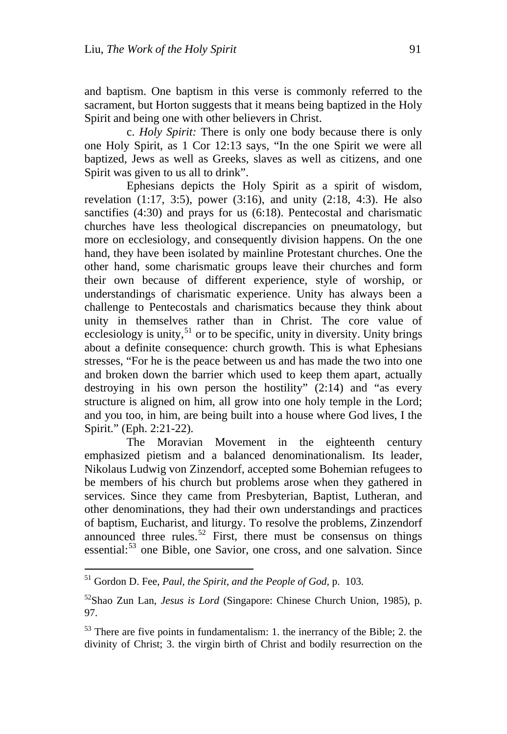and baptism. One baptism in this verse is commonly referred to the sacrament, but Horton suggests that it means being baptized in the Holy Spirit and being one with other believers in Christ.

c. *Holy Spirit:* There is only one body because there is only one Holy Spirit, as 1 Cor 12:13 says, "In the one Spirit we were all baptized, Jews as well as Greeks, slaves as well as citizens, and one Spirit was given to us all to drink".

Ephesians depicts the Holy Spirit as a spirit of wisdom, revelation  $(1:17, 3:5)$ , power  $(3:16)$ , and unity  $(2:18, 4:3)$ . He also sanctifies (4:30) and prays for us (6:18). Pentecostal and charismatic churches have less theological discrepancies on pneumatology, but more on ecclesiology, and consequently division happens. On the one hand, they have been isolated by mainline Protestant churches. One the other hand, some charismatic groups leave their churches and form their own because of different experience, style of worship, or understandings of charismatic experience. Unity has always been a challenge to Pentecostals and charismatics because they think about unity in themselves rather than in Christ. The core value of ecclesiology is unity,<sup>[51](#page-17-0)</sup> or to be specific, unity in diversity. Unity brings about a definite consequence: church growth. This is what Ephesians stresses, "For he is the peace between us and has made the two into one and broken down the barrier which used to keep them apart, actually destroying in his own person the hostility" (2:14) and "as every structure is aligned on him, all grow into one holy temple in the Lord; and you too, in him, are being built into a house where God lives, I the Spirit." (Eph. 2:21-22).

The Moravian Movement in the eighteenth century emphasized pietism and a balanced denominationalism. Its leader, Nikolaus Ludwig von Zinzendorf, accepted some Bohemian refugees to be members of his church but problems arose when they gathered in services. Since they came from Presbyterian, Baptist, Lutheran, and other denominations, they had their own understandings and practices of baptism, Eucharist, and liturgy. To resolve the problems, Zinzendorf announced three rules.<sup>52</sup> First, there must be consensus on things essential:<sup>[53](#page-17-2)</sup> one Bible, one Savior, one cross, and one salvation. Since

<span id="page-17-0"></span><sup>51</sup> Gordon D. Fee, *Paul, the Spirit, and the People of God,* p. 103.

<span id="page-17-1"></span><sup>52</sup>Shao Zun Lan, *Jesus is Lord* (Singapore: Chinese Church Union, 1985), p. 97.

<span id="page-17-2"></span><sup>&</sup>lt;sup>53</sup> There are five points in fundamentalism: 1. the inerrancy of the Bible; 2. the divinity of Christ; 3. the virgin birth of Christ and bodily resurrection on the